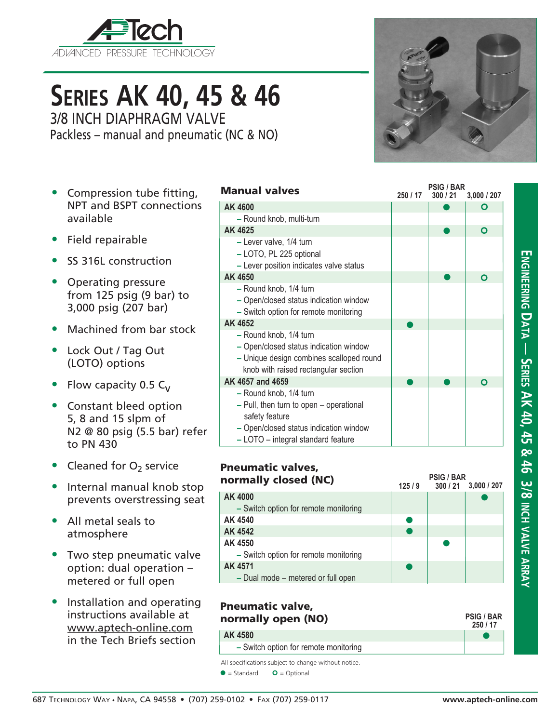

# **Series AK 40, 45 & 46** 3/8 INCH DIAPHRAGM VALVE

Packless – manual and pneumatic (NC & NO)

- Compression tube fitting, NPT and BSPT connections available
- Field repairable
- SS 316L construction
- Operating pressure from 125 psig (9 bar) to 3,000 psig (207 bar)
- Machined from bar stock
- Lock Out / Tag Out (LOTO) options
- Flow capacity 0.5  $C_{V}$
- Constant bleed option 5, 8 and 15 slpm of N2 @ 80 psig (5.5 bar) refer to PN 430
- Cleaned for  $O<sub>2</sub>$  service
- Internal manual knob stop prevents overstressing seat
- All metal seals to atmosphere
- Two step pneumatic valve option: dual operation – metered or full open
- Installation and operating instructions available at www.aptech-online.com in the Tech Briefs section

| <b>Manual valves</b>                                                                                                                                                | 250 / 17 | PSIG / BAR<br>300/21 | 3,000 / 207  |
|---------------------------------------------------------------------------------------------------------------------------------------------------------------------|----------|----------------------|--------------|
| AK 4600                                                                                                                                                             |          |                      | O            |
| - Round knob, multi-turn                                                                                                                                            |          |                      |              |
| AK 4625                                                                                                                                                             |          |                      | $\mathbf{o}$ |
| - Lever valve, 1/4 turn<br>- LOTO, PL 225 optional<br>- Lever position indicates valve status                                                                       |          |                      |              |
| AK 4650                                                                                                                                                             |          |                      | O            |
| - Round knob, 1/4 turn<br>- Open/closed status indication window<br>- Switch option for remote monitoring                                                           |          |                      |              |
| AK 4652                                                                                                                                                             |          |                      |              |
| - Round knob, 1/4 turn<br>- Open/closed status indication window<br>- Unique design combines scalloped round<br>knob with raised rectangular section                |          |                      |              |
| AK 4657 and 4659                                                                                                                                                    |          |                      | O            |
| - Round knob, 1/4 turn<br>- Pull, then turn to open - operational<br>safety feature<br>- Open/closed status indication window<br>- LOTO - integral standard feature |          |                      |              |

**PSIG / BAR**

| <b>Pneumatic valves,</b><br>normally closed (NC) | 125/9 | <b>PSIG / BAR</b><br>300/21<br>3,000/207 |  |  |  |
|--------------------------------------------------|-------|------------------------------------------|--|--|--|
| AK 4000                                          |       |                                          |  |  |  |
| - Switch option for remote monitoring            |       |                                          |  |  |  |
| AK 4540                                          |       |                                          |  |  |  |
| AK 4542                                          |       |                                          |  |  |  |
| AK 4550                                          |       |                                          |  |  |  |
| - Switch option for remote monitoring            |       |                                          |  |  |  |
| AK 4571                                          |       |                                          |  |  |  |
| - Dual mode - metered or full open               |       |                                          |  |  |  |

# Pneumatic valve, normally open (NO) **AK 4580**

**–** Switch option for remote monitoring

All specifications subject to change without notice.

 $\bullet$  = Standard  $\bullet$  = Optional

 $\bullet$ **250 / 17**

**PSIG / BAR**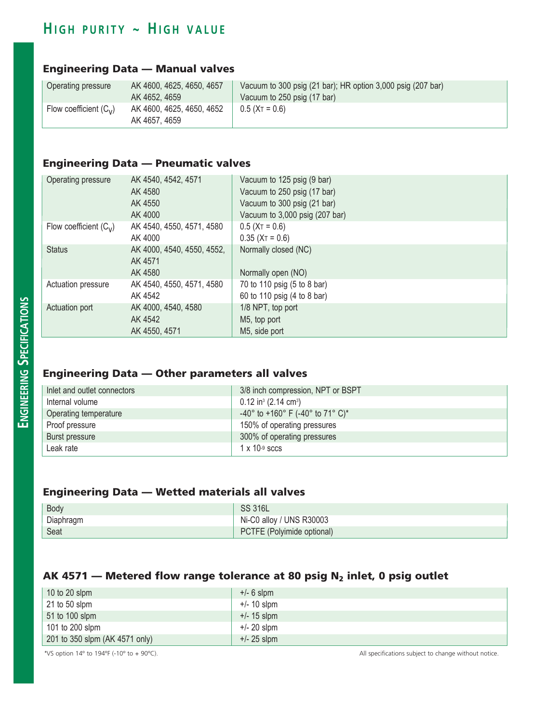# $H$  **igh purity ~ High value**

### Engineering Data — Manual valves

| Operating pressure       | AK 4600, 4625, 4650, 4657                  | Vacuum to 300 psig (21 bar); HR option 3,000 psig (207 bar) |
|--------------------------|--------------------------------------------|-------------------------------------------------------------|
|                          | AK 4652, 4659                              | Vacuum to 250 psig (17 bar)                                 |
| Flow coefficient $(C_v)$ | AK 4600, 4625, 4650, 4652<br>AK 4657, 4659 | $0.5$ (XT = 0.6)                                            |

### Engineering Data — Pneumatic valves

| Operating pressure       | AK 4540, 4542, 4571        | Vacuum to 125 psig (9 bar)     |
|--------------------------|----------------------------|--------------------------------|
|                          | AK 4580                    | Vacuum to 250 psig (17 bar)    |
|                          | AK 4550                    | Vacuum to 300 psig (21 bar)    |
|                          | AK 4000                    | Vacuum to 3,000 psig (207 bar) |
| Flow coefficient $(C_v)$ | AK 4540, 4550, 4571, 4580  | $0.5$ (X <sub>T</sub> = 0.6)   |
|                          | AK 4000                    | $0.35$ (X <sub>T</sub> = 0.6)  |
| <b>Status</b>            | AK 4000, 4540, 4550, 4552, | Normally closed (NC)           |
|                          | AK 4571                    |                                |
|                          | AK 4580                    | Normally open (NO)             |
| Actuation pressure       | AK 4540, 4550, 4571, 4580  | 70 to 110 psig (5 to 8 bar)    |
|                          | AK 4542                    | 60 to 110 psig (4 to 8 bar)    |
| Actuation port           | AK 4000, 4540, 4580        | 1/8 NPT, top port              |
|                          | AK 4542                    | M5, top port                   |
|                          | AK 4550, 4571              | M5, side port                  |

### Engineering Data — Other parameters all valves

| Inlet and outlet connectors | 3/8 inch compression, NPT or BSPT              |
|-----------------------------|------------------------------------------------|
| Internal volume             | $0.12$ in <sup>3</sup> (2.14 cm <sup>3</sup> ) |
| Operating temperature       | $-40^{\circ}$ to +160° F (-40° to 71° C)*      |
| Proof pressure              | 150% of operating pressures                    |
| <b>Burst pressure</b>       | 300% of operating pressures                    |
| Leak rate                   | $1 \times 10^{-9}$ sccs                        |

#### Engineering Data — Wetted materials all valves

| Body      | <b>SS 316L</b>             |
|-----------|----------------------------|
| Diaphragm | Ni-C0 alloy / UNS R30003   |
| Seat      | PCTFE (Polyimide optional) |

#### AK 4571 – Metered flow range tolerance at 80 psig  $N_2$  inlet, 0 psig outlet

| 10 to 20 slpm                  | $+/- 6$ slpm  |
|--------------------------------|---------------|
| $21$ to 50 slpm                | $+/- 10$ slpm |
| 51 to 100 slpm                 | $+/- 15$ slpm |
| 101 to 200 slpm                | $+/- 20$ slpm |
| 201 to 350 slpm (AK 4571 only) | $+/- 25$ slpm |

\*VS option 14º to 194ºF (-10º to + 90ºC). All specifications subject to change without notice.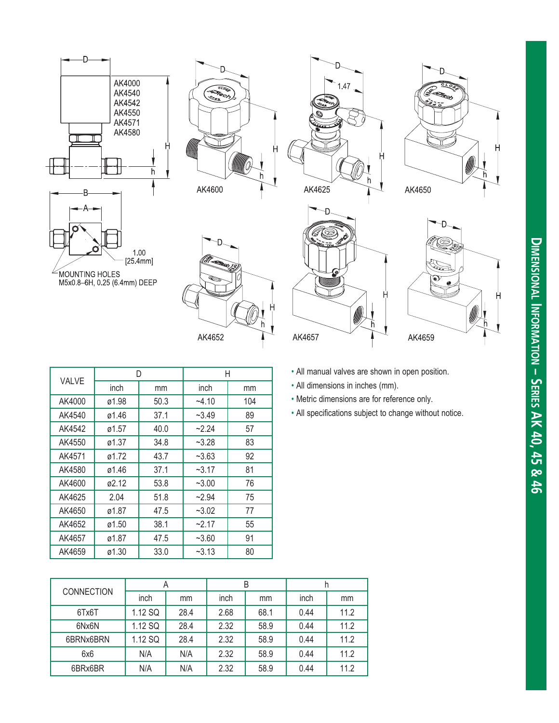











AK4657



|                   |       |  | D       |      | Η              |         | • All manual valves are shown in open position. |      |                                  |                                             |      |                                                        |  |
|-------------------|-------|--|---------|------|----------------|---------|-------------------------------------------------|------|----------------------------------|---------------------------------------------|------|--------------------------------------------------------|--|
| VALVE             | inch  |  | mm      |      | inch<br>mm     |         |                                                 |      | • All dimensions in inches (mm). |                                             |      |                                                        |  |
| AK4000            | ø1.98 |  | 50.3    |      | $-4.10$<br>104 |         |                                                 |      |                                  | • Metric dimensions are for reference only. |      |                                                        |  |
| AK4540            | ø1.46 |  | 37.1    |      | $-3.49$        |         |                                                 | 89   |                                  |                                             |      | • All specifications subject to change without notice. |  |
| AK4542            | ø1.57 |  | 40.0    |      | $-2.24$        |         |                                                 | 57   |                                  |                                             |      |                                                        |  |
| AK4550            | ø1.37 |  | 34.8    |      | $-3.28$        |         |                                                 | 83   |                                  |                                             |      |                                                        |  |
| AK4571            | ø1.72 |  | 43.7    |      | $-3.63$        |         |                                                 | 92   |                                  |                                             |      |                                                        |  |
| AK4580            | ø1.46 |  | 37.1    |      | $-3.17$        |         |                                                 | 81   |                                  |                                             |      |                                                        |  |
| AK4600            | ø2.12 |  | 53.8    |      | $-3.00$        |         |                                                 | 76   |                                  |                                             |      |                                                        |  |
| AK4625            | 2.04  |  |         | 51.8 |                | $-2.94$ |                                                 | 75   |                                  |                                             |      |                                                        |  |
| AK4650            | ø1.87 |  | 47.5    |      | $-3.02$        |         |                                                 | 77   |                                  |                                             |      |                                                        |  |
| AK4652            | ø1.50 |  | 38.1    |      | $-2.17$        |         |                                                 | 55   |                                  |                                             |      |                                                        |  |
| AK4657            | ø1.87 |  | 47.5    |      | $-3.60$        |         |                                                 | 91   |                                  |                                             |      |                                                        |  |
| AK4659            | ø1.30 |  | 33.0    |      | $-3.13$        |         | 80                                              |      |                                  |                                             |      |                                                        |  |
|                   |       |  |         |      |                |         |                                                 |      |                                  |                                             |      |                                                        |  |
|                   |       |  |         | A    |                |         |                                                 | B    |                                  |                                             | h    |                                                        |  |
| <b>CONNECTION</b> |       |  | inch    |      | mm             | inch    |                                                 | mm   |                                  | inch                                        | mm   |                                                        |  |
| 6Tx6T             |       |  | 1.12 SQ |      | 28.4           | 2.68    |                                                 | 68.1 |                                  | 0.44                                        | 11.2 |                                                        |  |
| 6Nx6N             |       |  | 1.12 SQ |      | 28.4           | 2.32    |                                                 | 58.9 |                                  | 0.44                                        | 11.2 |                                                        |  |
| 6BRNx6BRN         |       |  | 1.12 SQ |      | 28.4           | 2.32    |                                                 | 58.9 |                                  | 0.44                                        | 11.2 |                                                        |  |
| 6x6               |       |  | N/A     |      | N/A            | 2.32    |                                                 | 58.9 |                                  | 0.44                                        | 11.2 |                                                        |  |
| 6BRx6BR           |       |  | N/A     |      | N/A            | 2.32    |                                                 | 58.9 |                                  | 0.44                                        | 11.2 |                                                        |  |

|                   |         | A    |      | B    |      |      |
|-------------------|---------|------|------|------|------|------|
| <b>CONNECTION</b> | inch    | mm   | inch | mm   | inch | mm   |
| 6Tx6T             | 1.12 SQ | 28.4 | 2.68 | 68.1 | 0.44 | 11.2 |
| 6Nx6N             | 1.12 SQ | 28.4 | 2.32 | 58.9 | 0.44 | 11.2 |
| 6BRNx6BRN         | 1.12 SQ | 28.4 | 2.32 | 58.9 | 0.44 | 11.2 |
| 6x6               | N/A     | N/A  | 2.32 | 58.9 | 0.44 | 11.2 |
| 6BRx6BR           | N/A     | N/A  | 2.32 | 58.9 | 0.44 | 11.2 |

- 
- 
- 
-